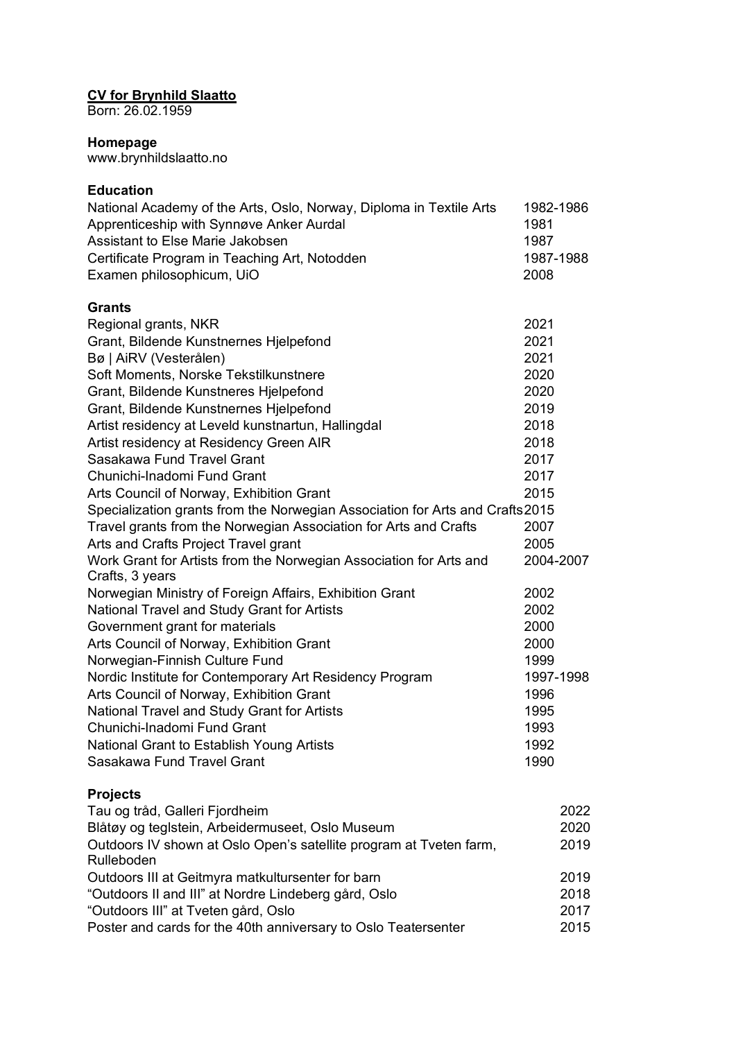## **CV for Brynhild Slaatto**

Born: 26.02.1959

## **Homepage**

www.brynhildslaatto.no

## **Education**

| National Academy of the Arts, Oslo, Norway, Diploma in Textile Arts<br>Apprenticeship with Synnøve Anker Aurdal<br>Assistant to Else Marie Jakobsen<br>Certificate Program in Teaching Art, Notodden<br>Examen philosophicum, UiO | 1982-1986<br>1981<br>1987<br>1987-1988<br>2008 |
|-----------------------------------------------------------------------------------------------------------------------------------------------------------------------------------------------------------------------------------|------------------------------------------------|
| <b>Grants</b>                                                                                                                                                                                                                     |                                                |
| Regional grants, NKR                                                                                                                                                                                                              | 2021                                           |
| Grant, Bildende Kunstnernes Hjelpefond                                                                                                                                                                                            | 2021                                           |
| Bø   AiRV (Vesterålen)                                                                                                                                                                                                            | 2021                                           |
| Soft Moments, Norske Tekstilkunstnere                                                                                                                                                                                             | 2020                                           |
| Grant, Bildende Kunstneres Hjelpefond                                                                                                                                                                                             | 2020                                           |
| Grant, Bildende Kunstnernes Hjelpefond                                                                                                                                                                                            | 2019                                           |
| Artist residency at Leveld kunstnartun, Hallingdal                                                                                                                                                                                | 2018                                           |
| Artist residency at Residency Green AIR                                                                                                                                                                                           | 2018                                           |
| Sasakawa Fund Travel Grant                                                                                                                                                                                                        | 2017                                           |
| Chunichi-Inadomi Fund Grant                                                                                                                                                                                                       | 2017                                           |
| Arts Council of Norway, Exhibition Grant                                                                                                                                                                                          | 2015                                           |
| Specialization grants from the Norwegian Association for Arts and Crafts 2015                                                                                                                                                     |                                                |
| Travel grants from the Norwegian Association for Arts and Crafts                                                                                                                                                                  | 2007                                           |
| Arts and Crafts Project Travel grant                                                                                                                                                                                              | 2005                                           |
| Work Grant for Artists from the Norwegian Association for Arts and<br>Crafts, 3 years                                                                                                                                             | 2004-2007                                      |
| Norwegian Ministry of Foreign Affairs, Exhibition Grant                                                                                                                                                                           | 2002                                           |
| National Travel and Study Grant for Artists                                                                                                                                                                                       | 2002                                           |
| Government grant for materials                                                                                                                                                                                                    | 2000                                           |
| Arts Council of Norway, Exhibition Grant                                                                                                                                                                                          | 2000                                           |
| Norwegian-Finnish Culture Fund                                                                                                                                                                                                    | 1999                                           |
| Nordic Institute for Contemporary Art Residency Program                                                                                                                                                                           | 1997-1998                                      |
| Arts Council of Norway, Exhibition Grant                                                                                                                                                                                          | 1996                                           |
| National Travel and Study Grant for Artists                                                                                                                                                                                       | 1995                                           |
| Chunichi-Inadomi Fund Grant                                                                                                                                                                                                       | 1993                                           |
| National Grant to Establish Young Artists                                                                                                                                                                                         | 1992                                           |
| Sasakawa Fund Travel Grant                                                                                                                                                                                                        | 1990                                           |
| <b>Projects</b>                                                                                                                                                                                                                   |                                                |
| Tau og tråd, Galleri Fjordheim                                                                                                                                                                                                    | 2022                                           |
| Blåtøy og teglstein, Arbeidermuseet, Oslo Museum                                                                                                                                                                                  | 2020                                           |
| Outdoors IV shown at Oslo Open's satellite program at Tveten farm,                                                                                                                                                                | 2019                                           |
| Rulleboden                                                                                                                                                                                                                        |                                                |
| Outdoors III at Geitmyra matkultursenter for barn                                                                                                                                                                                 | 2019                                           |
| "Outdoors II and III" at Nordre Lindeberg gård, Oslo                                                                                                                                                                              | 2018                                           |
| "Outdoors III" at Tveten gård, Oslo                                                                                                                                                                                               | 2017                                           |
| Poster and cards for the 40th anniversary to Oslo Teatersenter                                                                                                                                                                    | 2015                                           |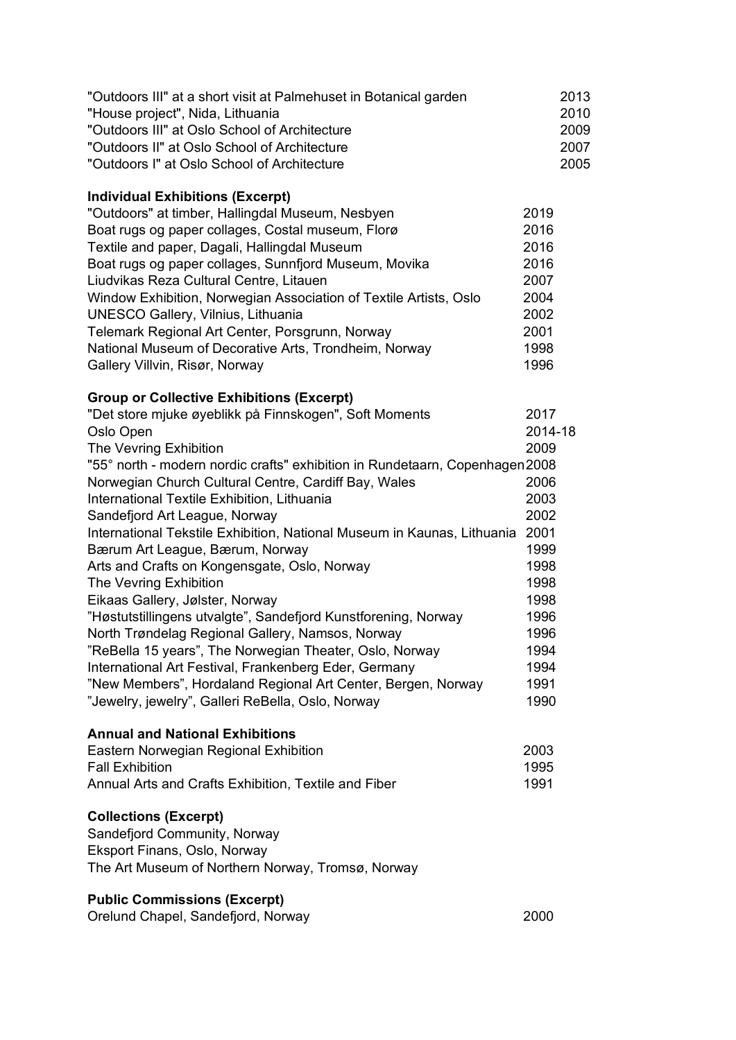| "Outdoors III" at a short visit at Palmehuset in Botanical garden<br>"House project", Nida, Lithuania<br>"Outdoors III" at Oslo School of Architecture<br>"Outdoors II" at Oslo School of Architecture<br>"Outdoors I" at Oslo School of Architecture |         | 2013<br>2010<br>2009<br>2007<br>2005 |
|-------------------------------------------------------------------------------------------------------------------------------------------------------------------------------------------------------------------------------------------------------|---------|--------------------------------------|
| <b>Individual Exhibitions (Excerpt)</b>                                                                                                                                                                                                               |         |                                      |
| "Outdoors" at timber, Hallingdal Museum, Nesbyen                                                                                                                                                                                                      | 2019    |                                      |
| Boat rugs og paper collages, Costal museum, Florø                                                                                                                                                                                                     | 2016    |                                      |
| Textile and paper, Dagali, Hallingdal Museum                                                                                                                                                                                                          | 2016    |                                      |
| Boat rugs og paper collages, Sunnfjord Museum, Movika                                                                                                                                                                                                 | 2016    |                                      |
| Liudvikas Reza Cultural Centre, Litauen                                                                                                                                                                                                               | 2007    |                                      |
| Window Exhibition, Norwegian Association of Textile Artists, Oslo                                                                                                                                                                                     | 2004    |                                      |
| <b>UNESCO Gallery, Vilnius, Lithuania</b>                                                                                                                                                                                                             | 2002    |                                      |
| Telemark Regional Art Center, Porsgrunn, Norway                                                                                                                                                                                                       | 2001    |                                      |
| National Museum of Decorative Arts, Trondheim, Norway                                                                                                                                                                                                 | 1998    |                                      |
| Gallery Villvin, Risør, Norway                                                                                                                                                                                                                        | 1996    |                                      |
| <b>Group or Collective Exhibitions (Excerpt)</b>                                                                                                                                                                                                      |         |                                      |
| "Det store mjuke øyeblikk på Finnskogen", Soft Moments                                                                                                                                                                                                | 2017    |                                      |
| Oslo Open                                                                                                                                                                                                                                             | 2014-18 |                                      |
| The Vevring Exhibition                                                                                                                                                                                                                                | 2009    |                                      |
| "55° north - modern nordic crafts" exhibition in Rundetaarn, Copenhagen 2008                                                                                                                                                                          |         |                                      |
| Norwegian Church Cultural Centre, Cardiff Bay, Wales                                                                                                                                                                                                  | 2006    |                                      |
| International Textile Exhibition, Lithuania                                                                                                                                                                                                           | 2003    |                                      |
| Sandefjord Art League, Norway                                                                                                                                                                                                                         | 2002    |                                      |
| International Tekstile Exhibition, National Museum in Kaunas, Lithuania                                                                                                                                                                               | 2001    |                                      |
| Bærum Art League, Bærum, Norway                                                                                                                                                                                                                       | 1999    |                                      |
| Arts and Crafts on Kongensgate, Oslo, Norway                                                                                                                                                                                                          | 1998    |                                      |
| The Vevring Exhibition                                                                                                                                                                                                                                | 1998    |                                      |
| Eikaas Gallery, Jølster, Norway                                                                                                                                                                                                                       | 1998    |                                      |
| "Høstutstillingens utvalgte", Sandefjord Kunstforening, Norway                                                                                                                                                                                        | 1996    |                                      |
| North Trøndelag Regional Gallery, Namsos, Norway                                                                                                                                                                                                      | 1996    |                                      |
| "ReBella 15 years", The Norwegian Theater, Oslo, Norway                                                                                                                                                                                               | 1994    |                                      |
| International Art Festival, Frankenberg Eder, Germany                                                                                                                                                                                                 | 1994    |                                      |
| "New Members", Hordaland Regional Art Center, Bergen, Norway                                                                                                                                                                                          | 1991    |                                      |
| "Jewelry, jewelry", Galleri ReBella, Oslo, Norway                                                                                                                                                                                                     | 1990    |                                      |
| <b>Annual and National Exhibitions</b>                                                                                                                                                                                                                |         |                                      |
| Eastern Norwegian Regional Exhibition                                                                                                                                                                                                                 | 2003    |                                      |
| <b>Fall Exhibition</b>                                                                                                                                                                                                                                | 1995    |                                      |
| Annual Arts and Crafts Exhibition, Textile and Fiber                                                                                                                                                                                                  | 1991    |                                      |
| <b>Collections (Excerpt)</b><br>Sandefjord Community, Norway<br>Eksport Finans, Oslo, Norway<br>The Art Museum of Northern Norway, Tromsø, Norway                                                                                                     |         |                                      |
| <b>Public Commissions (Excerpt)</b>                                                                                                                                                                                                                   |         |                                      |

Orelund Chapel, Sandefjord, Norway 2000